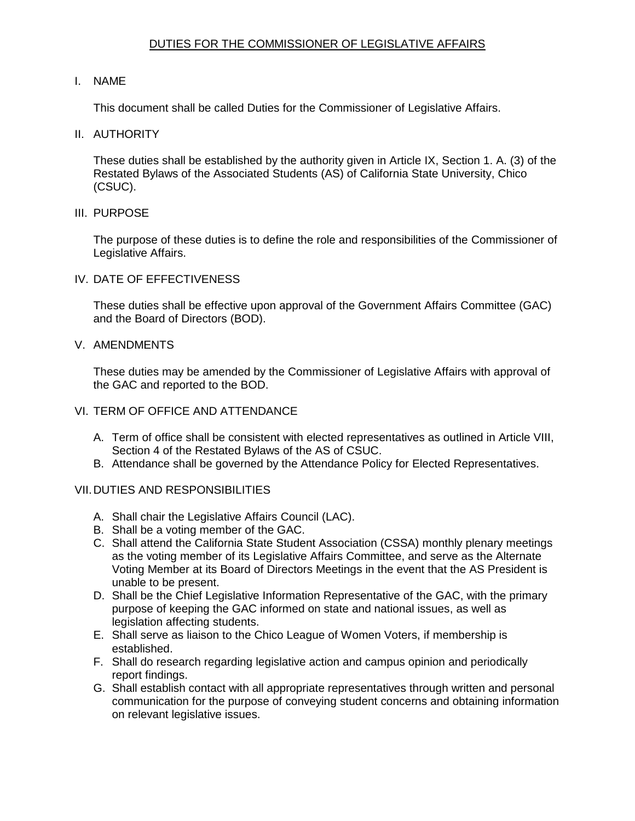# DUTIES FOR THE COMMISSIONER OF LEGISLATIVE AFFAIRS

# I. NAME

This document shall be called Duties for the Commissioner of Legislative Affairs.

II. AUTHORITY

 These duties shall be established by the authority given in Article IX, Section 1. A. (3) of the Restated Bylaws of the Associated Students (AS) of California State University, Chico (CSUC).

III. PURPOSE

 The purpose of these duties is to define the role and responsibilities of the Commissioner of Legislative Affairs.

IV. DATE OF EFFECTIVENESS

 These duties shall be effective upon approval of the Government Affairs Committee (GAC) and the Board of Directors (BOD).

V. AMENDMENTS

 These duties may be amended by the Commissioner of Legislative Affairs with approval of the GAC and reported to the BOD.

## VI. TERM OF OFFICE AND ATTENDANCE

- A. Term of office shall be consistent with elected representatives as outlined in Article VIII, Section 4 of the Restated Bylaws of the AS of CSUC.
- B. Attendance shall be governed by the Attendance Policy for Elected Representatives.

# VII.DUTIES AND RESPONSIBILITIES

- A. Shall chair the Legislative Affairs Council (LAC).
- B. Shall be a voting member of the GAC.
- C. Shall attend the California State Student Association (CSSA) monthly plenary meetings as the voting member of its Legislative Affairs Committee, and serve as the Alternate Voting Member at its Board of Directors Meetings in the event that the AS President is unable to be present.
- D. Shall be the Chief Legislative Information Representative of the GAC, with the primary purpose of keeping the GAC informed on state and national issues, as well as legislation affecting students.
- E. Shall serve as liaison to the Chico League of Women Voters, if membership is established.
- F. Shall do research regarding legislative action and campus opinion and periodically report findings.
- communication for the purpose of conveying student concerns and obtaining information on relevant legislative issues. G. Shall establish contact with all appropriate representatives through written and personal